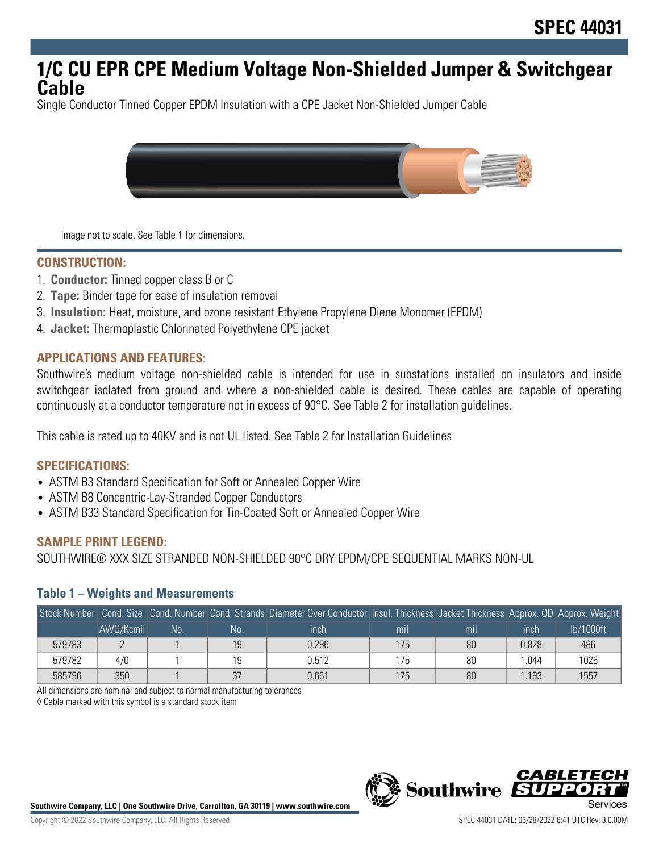## **1/C CU EPR CPE Medium Voltage Non-Shielded Jumper & Switchgear Cable**

Single Conductor Tinned Copper EPDM Insulation with a CPE Jacket Non-Shielded Jumper Cable



Image not to scale. See Table 1 for dimensions.

#### **CONSTRUCTION:**

- 1. **Conductor:** Tinned copper class B or C
- 2. **Tape:** Binder tape for ease of insulation removal
- 3. **Insulation:** Heat, moisture, and ozone resistant Ethylene Propylene Diene Monomer (EPDM)
- 4. **Jacket:** Thermoplastic Chlorinated Polyethylene CPE jacket

#### **APPLICATIONS AND FEATURES:**

Southwire's medium voltage non-shielded cable is intended for use in substations installed on insulators and inside switchgear isolated from ground and where a non-shielded cable is desired. These cables are capable of operating continuously at a conductor temperature not in excess of 90°C. See Table 2 for installation guidelines.

This cable is rated up to 40KV and is not UL listed. See Table 2 for Installation Guidelines

#### **SPECIFICATIONS:**

- ASTM B3 Standard Specification for Soft or Annealed Copper Wire
- ASTM B8 Concentric-Lay-Stranded Copper Conductors
- ASTM B33 Standard Specification for Tin-Coated Soft or Annealed Copper Wire

#### **SAMPLE PRINT LEGEND:**

SOUTHWIRE® XXX SIZE STRANDED NON-SHIELDED 90°C DRY EPDM/CPE SEQUENTIAL MARKS NON-UL

#### **Table 1 – Weights and Measurements**

|        |           |    |    | Stock Number Cond. Size Cond. Number Cond. Strands Diameter Over Conductor Insul. Thickness Jacket Thickness Approx. OD Approx. Weight |                |                |       |           |
|--------|-----------|----|----|----------------------------------------------------------------------------------------------------------------------------------------|----------------|----------------|-------|-----------|
|        | AWG/Kcmil | No | No | inch                                                                                                                                   | m <sub>l</sub> | m <sub>l</sub> | inch  | lb/1000ft |
| 579783 |           |    | 19 | 0.296                                                                                                                                  | 175            | 80             | 0.828 | 486       |
| 579782 | 4/0       |    | 19 | 0.512                                                                                                                                  | 175            | 80             | .044  | 1026      |
| 585796 | 350       |    | 37 | 0.661                                                                                                                                  | 175            | 80             | .193  | 1557      |

All dimensions are nominal and subject to normal manufacturing tolerances

◊ Cable marked with this symbol is a standard stock item



*CABLE*